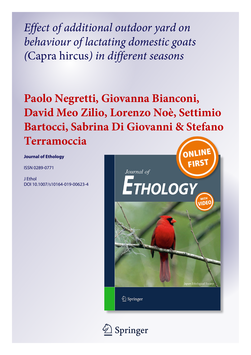*Effect of additional outdoor yard on behaviour of lactating domestic goats (*Capra hircus*) in different seasons*

# **Paolo Negretti, Giovanna Bianconi, David Meo Zilio, Lorenzo Noè, Settimio Bartocci, Sabrina Di Giovanni & Stefano Terramoccia**

**Journal of Ethology**

ISSN 0289-0771

J Ethol DOI 10.1007/s10164-019-00623-4



2 Springer

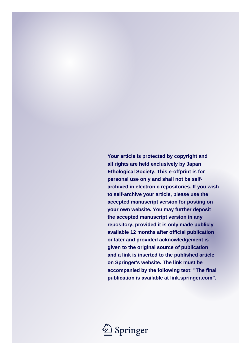**Your article is protected by copyright and all rights are held exclusively by Japan Ethological Society. This e-offprint is for personal use only and shall not be selfarchived in electronic repositories. If you wish to self-archive your article, please use the accepted manuscript version for posting on your own website. You may further deposit the accepted manuscript version in any repository, provided it is only made publicly available 12 months after official publication or later and provided acknowledgement is given to the original source of publication and a link is inserted to the published article on Springer's website. The link must be accompanied by the following text: "The final publication is available at link.springer.com".**

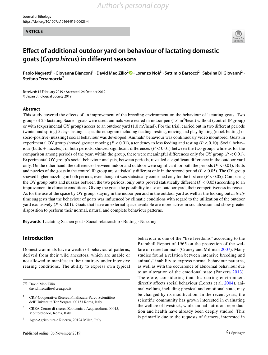#### **ARTICLE**



# **Efect of additional outdoor yard on behaviour of lactating domestic goats (***Capra hircus***) in diferent seasons**

Paolo Negretti<sup>1</sup> [·](http://orcid.org/0000-0002-8182-1833) Giovanna Bianconi<sup>1</sup> · David Meo Zilio<sup>2</sup> D · Lorenzo Noè<sup>3</sup> · Settimio Bartocci<sup>2</sup> · Sabrina Di Giovanni<sup>2</sup> · **Stefano Terramoccia<sup>2</sup>**

Received: 15 February 2019 / Accepted: 24 October 2019 © Japan Ethological Society 2019

#### **Abstract**

This study covered the efects of an improvement of the breeding environment on the behaviour of lactating goats. Two groups of 25 lactating Saanen goats were used: animals were reared in indoor pen  $(1.6 \text{ m}^2/\text{head})$  without (control IP group) or with (experimental OY group) access to an outdoor yard  $(1.0 \text{ m}^2/\text{head})$ . For the trial, carried out in two different periods (winter and spring) 5 days lasting, a specifc ethogram including feeding, resting, moving and play fghting (mock butting) or socio-positive (nuzzling) social behaviour was developed. Animals' behaviour was continuously video monitored. Goats in experimental OY group showed greater moving ( $P < 0.01$ ), a tendency to less feeding and resting ( $P < 0.10$ ). Social behaviour (butts + nuzzles), in both periods, showed significant differences  $(P < 0.01)$  between the two groups while as for the comparison among periods of the year, within the group, there were meaningful differences only for OY group ( $P < 0.01$ ). Experimental OY group's social behaviour analysis, between periods, revealed a signifcant diference in the outdoor yard only. On the other hand, the differences between indoor and outdoor were significant for both the periods  $(P < 0.01)$ . Butts and nuzzles of the goats in the control IP group are statistically different only in the second period ( $P < 0.05$ ). The OY group showed higher nuzzling in both periods, even though it was statistically confirmed only for the first one  $(P < 0.05)$ . Comparing the OY group butts and nuzzles between the two periods, only butts proved statistically different  $(P < 0.05)$  according to an improvement in climatic conditions. Giving the goats the possibility to use an outdoor yard, their competitiveness increases. As for the use of the space by OY group, staying in the indoor pen and in the outdoor yard as well as the looking out *activity* time suggests that the behaviour of goats was infuenced by climatic conditions with regard to the utilization of the outdoor yard exclusively  $(P < 0.01)$ . Goats that have an external space available are more active in socialization and show greater disposition to perform their normal, natural and complete behaviour patterns.

**Keywords** Lactating Saanen goat · Social relationship · Butting · Nuzzling

# **Introduction**

Domestic animals have a wealth of behavioural patterns, derived from their wild ancestors, which are unable or not allowed to manifest to their entirety under intensive rearing conditions. The ability to express own typical behaviour is one of the "fve freedoms" according to the Brambell Report of 1965 on the protection of the welfare of reared animals (Croney and Millman [2007\)](#page-9-0). Many studies found a relation between intensive breeding and animals' inability to express normal behaviour patterns, as well as with the occurrence of abnormal behaviour due to an alteration of the emotional state (Panzera [2013](#page-10-0)). Therefore, considering that the rearing environment directly affects social behaviour (Loretz et al. [2004](#page-9-1)), animal welfare, including physical and emotional state, may be changed by its modifcation. In the recent years, the scientifc community has grown interested in evaluating the welfare of livestock, while animal nutrition, reproduction and health have already been deeply studied. This is primarily due to the requests of farmers, interested in

 $\boxtimes$  David Meo Zilio david.meozilio@crea.gov.it

<sup>&</sup>lt;sup>1</sup> CRF-Cooperativa Ricerca Finalizzata-Parco Scientifico dell'Università Tor Vergata, 00133 Roma, Italy

<sup>2</sup> CREA-Centro di ricerca Zootecnia e Acquacoltura, 00015, Monterotondo, Roma, Italy

<sup>3</sup> Ager-Agricoltura e Ricerca, 20124 Milan, Italy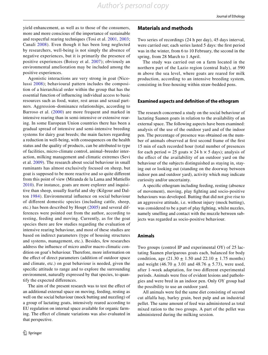yield enhancement, as well as to those of the consumers, more and more conscious of the importance of sustainable and respectful rearing techniques (Tosi et al. [2001](#page-10-1), [2003](#page-10-2); Canali [2008](#page-9-2)). Even though it has been long neglected by researchers, well-being is not simply the absence of negative experiences, but it is primarily the presence of positive experiences (Boissy et al. [2007](#page-9-3)); obviously an environmental amelioration may be included among the positive experiences.

Agonistic interactions are very strong in goat (Nicolussi [2008\)](#page-10-3); behavioural pattern includes the composition of a hierarchical order within the group that has the essential function of infuencing individual access to basic resources such as food, water, rest areas and sexual partners. Aggression–dominance relationships, according to Barroso et al. ([2000\)](#page-9-4) are more frequent and marked in intensive rearing than in semi-intensive or extensive rearing. In some European Union countries there has been a gradual spread of intensive and semi-intensive breeding systems for dairy goat breeds; the main factors regarding a reduction in well-being, with consequences on the health status and the quality of products, can be attributed to type of facilities, micro-climate control, animal–breeder interaction, milking management and climatic extremes (Sevi et al. [2009\)](#page-10-4). The research about social behaviour in small ruminants has almost exclusively focused on sheep, but goat is supposed to be more reactive and so quite diferent from this point of view (Miranda de la Lama and Mattiello [2010\)](#page-9-5). For instance, goats are more explorer and inquisitive than sheep, usually fearful and shy (Kilgour and Dalton [1984\)](#page-9-6). Environmental infuence on social behaviour of diferent domestic species (including cattle, sheep, etc.) has been described by Houpt ([2005\)](#page-9-7) and several differences were pointed out from the author, according to resting, feeding and moving. Currently, as for the goat species there are few studies regarding the evaluation of intensive rearing behaviour, and most of these studies are based on indirect parameters (type of housing structures and systems, management, etc.). Besides, few researches address the infuence of micro and/or macro climatic condition on goat's behaviour. Therefore, more information on the efect of direct parameters (addition of outdoor space and climate, etc.) on goat behaviour is needed, given the specifc attitude to range and to explore the surrounding environment, naturally expressed by that species, to quantify the expected diferences.

The aim of the present research was to test the efect of an additional external space on moving, feeding, resting as well on the social behaviour (mock butting and nuzzling) of a group of lactating goats, intensively reared according to EU regulation on internal space available for organic farming. The efect of climate variations was also evaluated in that perspective.

# **Materials and methods**

Two series of recordings (24 h per day), 45 days interval, were carried out; each series lasted 5 days: the frst period was in the winter, from 6 to 10 February, the second in the spring, from 28 March to 1 April.

The study was carried out on a farm located in the northern part of the Lazio region (central Italy), at 590 m above the sea level, where goats are reared for milk production, according to an intensive breeding system, consisting in free-housing within straw-bedded pens.

#### **Examined aspects and defnition of the ethogram**

The research concerned a study on the social behaviour of lactating Saanen goats in relation to the availability of an external space. The following aspects have been examined: analysis of the use of the outdoor yard and of the indoor pen. The percentage of presence was obtained on the number of animals observed at frst second frame of the frst 15 min of each recorded hour (total number of presences for each period = 25 goats  $\times$  24 h  $\times$  5 days); analysis of the efect of the availability of an outdoor yard on the behaviour of the subjects distinguished as staying in, staying out or looking out (standing on the doorway between indoor pen and outdoor yard), activity which may indicate curiosity and/or uncertainty.

A specifc ethogram including feeding, resting (absence of movement), moving, play fghting and socio-positive behaviours was developed. Butting that did not give rise to an aggressive attitude, i.e. without injury (mock butting), was considered to be a part of play fghting, whilst nuzzles, namely smelling and contact with the muzzle between subjects was regarded as socio-positive behaviour.

#### **Animals**

Two groups (control IP and experimental OY) of 25 lactating Saanen pluriparous goats each, balanced for body condition, age  $(21.30 \pm 1.50 \text{ and } 22.10 \pm 1.75 \text{ months})$ and weight (46.70  $\pm$  3.01 and 48.76  $\pm$  5.73), were used, after 1-week adaptation, for two diferent experimental periods. Animals were free of evident lesions and pathologies and were bred in an indoor pen. Only OY group had the possibility to use an outdoor yard.

All animals were fed the same diet consisting of second cut alfalfa hay, barley grain, beet pulp and an industrial pellet. The same amount of feed was administered as total mixed ration to the two groups. A part of the pellet was administered during the milking session.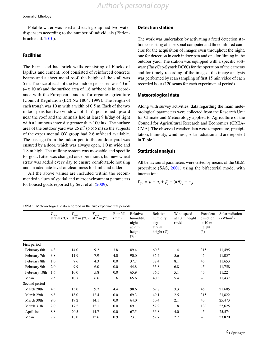Potable water was used and each group had two water dispensers according to the number of individuals (Ehrlenbruch et al. [2010\)](#page-9-8).

# **Facilities**

The barn used had brick walls consisting of blocks of lapillus and cement, roof consisted of reinforced concrete beams and a sheet metal roof, the height of the stall was 5 m. The size of each of the two indoor pens used was  $40 \text{ m}^2$  $(4 \times 10 \text{ m})$  and the surface area of 1.6 m<sup>2</sup>/head is in accordance with the European standard for organic agriculture (Council Regulation (EC) No 1804, 1999). The length of each trough was 10 m with a width of 0.5 m. Each of the two indoor pens had two windows of  $4 \text{ m}^2$ , positioned upward near the roof and the animals had at least 9 h/day of light with a luminous intensity greater than 100 lux. The surface area of the outdoor yard was  $25 \text{ m}^2 (5 \times 5 \text{ m})$  so the subjects of the experimental OY group had 2.6  $m^2$ /head available. The passage from the indoor pen to the outdoor yard was ensured by a door, which was always open, 1.0 m wide and 1.8 m high. The milking system was moveable and specifc for goat. Litter was changed once per month, but new wheat straw was added every day to ensure comfortable housing and an adequate level of cleanliness for limb and udder.

All the above values are included within the recommended values of spatial and microenvironment parameters for housed goats reported by Sevi et al. ([2009](#page-10-4)).

# **Detection station**

The work was undertaken by activating a fxed detection station consisting of a personal computer and three infrared cameras for the acquisition of images even throughout the night, one for detection in each indoor pen and one for flming in the outdoor yard. The station was equipped with a specifc software (EasyCap-Syntek DC60) for the operation of the cameras and for timely recording of the images; the image analysis was performed by scan sampling of frst 15 min video of each recorded hour (120 scans for each experimental period).

# **Meteorological data**

Along with survey activities, data regarding the main meteorological parameters were collected from the Research Unit for Climate and Meteorology applied to Agriculture of the Council for Agricultural Research and Economics (CREA-CMA). The observed weather data were temperature, precipitation, humidity, windiness, solar radiation and are reported in Table [1](#page-4-0).

# **Statistical analysis**

All behavioural parameters were tested by means of the GLM procedure (SAS, [2001](#page-10-5)) using the bifactorial model with interaction:

$$
Y_{ijk} = \mu + \alpha_i + \beta_j + (\alpha \beta)_{ij} + \epsilon_{ijk}
$$

<span id="page-4-0"></span>

|               | $T_{\rm min}$<br>at $2 \text{ m}$ ( $^{\circ}$ C) | $T_{\rm max}$<br>at $2 \text{ m} (^{\circ}C)$ | $T_{\rm mean}$<br>at $2 \text{ m} (^{\circ}C)$ | Rainfall<br>(mm) | Relative<br>humidity,<br>night<br>at $2m$<br>height<br>$(\%)$ | Relative<br>humidity,<br>day<br>at $2m$<br>height $(\%)$ | Wind speed<br>at $10 \text{ m}$ height<br>(m/s) | Prevalent<br>direction<br>at $10m$<br>height<br>(°) | Solar radiation<br>(kWh/m <sup>2</sup> ) |
|---------------|---------------------------------------------------|-----------------------------------------------|------------------------------------------------|------------------|---------------------------------------------------------------|----------------------------------------------------------|-------------------------------------------------|-----------------------------------------------------|------------------------------------------|
| First period  |                                                   |                                               |                                                |                  |                                                               |                                                          |                                                 |                                                     |                                          |
| February 6th  | 4.3                                               | 14.0                                          | 9.2                                            | 3.8              | 89.4                                                          | 60.3                                                     | 1.4                                             | 315                                                 | 11,495                                   |
| February 7th  | 3.8                                               | 11.9                                          | 7.9                                            | 4.0              | 90.0                                                          | 36.4                                                     | 5.6                                             | 45                                                  | 11,057                                   |
| February 8th  | 1.0                                               | 7.6                                           | 4.3                                            | 0.0              | 37.7                                                          | 32.4                                                     | 8.1                                             | 45                                                  | 11,653                                   |
| February 9th  | 2.0                                               | 9.9                                           | 6.0                                            | 0.0              | 44.8                                                          | 35.8                                                     | 6.8                                             | 45                                                  | 11,758                                   |
| February 10th | 1.6                                               | 10.0                                          | 5.8                                            | 0.0              | 65.9                                                          | 36.5                                                     | 5.1                                             | 45                                                  | 11,224                                   |
| Mean          | 2.5                                               | 10.7                                          | 6.6                                            | 1.6              | 65.6                                                          | 40.3                                                     | 5.4                                             |                                                     | 11,437                                   |
| Second period |                                                   |                                               |                                                |                  |                                                               |                                                          |                                                 |                                                     |                                          |
| March 28th    | 4.3                                               | 15.0                                          | 9.7                                            | 4.4              | 98.6                                                          | 69.8                                                     | 3.3                                             | 45                                                  | 21,605                                   |
| March 29th    | 6.8                                               | 18.0                                          | 12.4                                           | 0.0              | 69.3                                                          | 49.1                                                     | 2.5                                             | 315                                                 | 23,822                                   |
| March 30th    | 9.0                                               | 19.2                                          | 14.1                                           | 0.0              | 64.0                                                          | 50.4                                                     | 2.1                                             | 45                                                  | 25,473                                   |
| March 31th    | 7.0                                               | 17.2                                          | 12.1                                           | 0.0              | 69.1                                                          | 57.2                                                     | 1.8                                             | 139                                                 | 22,625                                   |
| April 1st     | 8.8                                               | 20.5                                          | 14.7                                           | 0.0              | 67.5                                                          | 36.8                                                     | 4.0                                             | 45                                                  | 25,574                                   |
| Mean          | 7.2                                               | 18.0                                          | 12.6                                           | 0.9              | 73.7                                                          | 52.7                                                     | 2.7                                             |                                                     | 23,820                                   |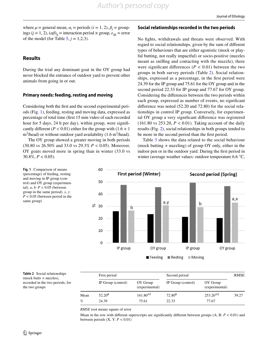where  $\mu$  = general mean,  $\alpha_i$  = periods ( $i$  = 1, 2),  $\beta_j$  = groupings ( $j = 1, 2$ ), ( $\alpha\beta$ )<sub>ii</sub> = interaction period  $\times$  group,  $\varepsilon$ <sub>iik</sub> = error of the model (for Table  $5, j = 1,2,3$  $5, j = 1,2,3$ ).

# **Results**

During the trial any dominant goat in the OY group had never blocked the entrance of outdoor yard to prevent other animals from going in or out.

#### **Primary needs: feeding, resting and moving**

Considering both the frst and the second experimental periods (Fig. [1](#page-5-0)), feeding, resting and moving data, expressed as percentage of total time (frst 15 min video of each recorded hour for 5 days, 24 h per day), within group, were significantly different ( $P < 0.01$ ) either for the group with ( $1.6 + 1$ )  $m^2$ /head) or without outdoor yard availability (1.6 m<sup>2</sup>/head).

The OY group showed a greater moving in both periods (30.80 vs 26.50% and 33.0 vs 29.3% *P* < 0.05). Moreover, OY goats moved more in spring than in winter (33.0 vs 30.8%,  $P < 0.05$ ).

#### **Social relationships recorded in the two periods**

No fghts, withdrawals and threats were observed. With regard to social relationships, given by the sum of diferent types of behaviours that are either agonistic (mock or playful butting, not really impactful) or socio-positive (nuzzles meant as snifng and contacting with the muzzle), there were significant differences ( $P < 0.01$ ) between the two groups in both survey periods (Table [2](#page-5-1)). Social relationships, expressed as a percentage, in the frst period were 24.39 for the IP group and 75.61 for the OY group and in the second period 22.33 for IP group and 77.67 for OY group. Considering the diferences between the two periods within each group, expressed as number of events, no signifcant diference was noted (52.20 and 72.80) for the social relationships in control IP group. Conversely, for experimental OY group a very signifcant diference was registered (161.80 vs 253.20, *P* < 0.01). Taking account of the daily results (Fig. [2\)](#page-6-0), social relationships in both groups tended to be more in the second period than the frst period.

Table [3](#page-6-1) shows the data related to the social behaviour (mock butting + nuzzling) of group OY only, either in the indoor pen or in the outdoor yard. During the frst period in winter (average weather values: outdoor temperature 6.6 °C,



<span id="page-5-0"></span>**Fig. 1** Comparison of means (percentage) of feeding, resting and moving in IP group (control) and OY group (experimental). *a*, *b*: *P* < 0.05 (between group in the same period). *x*, *y*: *P* < 0.05 (between period in the same group)

<span id="page-5-1"></span>**Table 2** Social relationships (mock butts + nuzzles), recorded in the two periods, for the two groups

|      | First period       |                            | Second period      | <b>RMSE</b>                |       |
|------|--------------------|----------------------------|--------------------|----------------------------|-------|
|      | IP Group (control) | OY Group<br>(experimental) | IP Group (control) | OY Group<br>(experimental) |       |
| Mean | $52.20^{\rm B}$    | $161.80^{AY}$              | $72.80^{\rm B}$    | $253.20^{AX}$              | 39.27 |
| %    | 24.39              | 75.61                      | 22.33              | 77.67                      |       |

*RMSE* root means square of error

Mean in the row with diferent superscripts are signifcantly diferent between groups (A, B: *P* < 0.01) and between periods (X, Y: *P* < 0.01)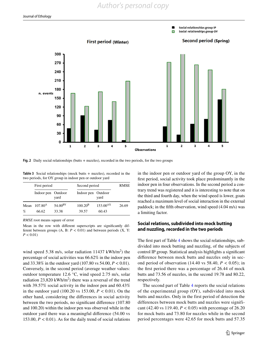![](_page_6_Figure_2.jpeg)

<span id="page-6-0"></span>**Fig. 2** Daily social relationships (butts + nuzzles), recorded in the two periods, for the two groups

<span id="page-6-1"></span>**Table 3** Social relationships (mock butts + nuzzles), recorded in the two periods, for OY group in indoor pen or outdoor yard

|           | First period          |                              | Second period         | RMSE                   |       |
|-----------|-----------------------|------------------------------|-----------------------|------------------------|-------|
|           | Indoor pen Outdoor    | yard                         | Indoor pen Outdoor    | yard                   |       |
| Mean<br>% | $107.80^{A}$<br>66.62 | 54.00 <sup>BY</sup><br>33.38 | $100.20^{B}$<br>39.57 | $153.00^{AX}$<br>60.43 | 26.69 |

*RMSE* root means square of error

Mean in the row with diferent superscripts are signifcantly different between groups (A, B: *P* < 0.01) and between periods (X, Y:  $P < 0.01$ 

wind speed 5.38 m/s, solar radiation  $11437$  kWh/m<sup>2</sup>) the percentage of social activities was 66.62% in the indoor pen and 33.38% in the outdoor yard (107.80 vs 54.00, *P* < 0.01). Conversely, in the second period (average weather values: outdoor temperature 12.6 °C, wind speed 2.75 m/s, solar radiation 23,820 kWh/m<sup>2</sup>) there was a reversal of the trend with 39.57% social activity in the indoor pen and 60.43% in the outdoor yard (100.20 vs 153.00, *P* < 0.01). On the other hand, considering the diferences in social activity between the two periods, no signifcant diference (107.80 and 100.20) within the indoor pen was observed while in the outdoor yard there was a meaningful diference (54.00 vs 153.00,  $P < 0.01$ ). As for the daily trend of social relations

in the indoor pen or outdoor yard of the group OY, in the frst period, social activity took place predominantly in the indoor pen in four observations. In the second period a contrary trend was registered and it is interesting to note that on the third and fourth day, when the wind speed is lower, goats reached a maximum level of social interaction in the external paddock; in the ffth observation, wind speed (4.04 m/s) was a limiting factor.

# **Social relations, subdivided into mock butting and nuzzling, recorded in the two periods**

The frst part of Table [4](#page-7-1) shows the social relationships, subdivided into mock butting and nuzzling, of the subjects of control IP group. Statistical analysis highlights a signifcant diference between mock butts and nuzzles only in second period of observation (14.40 vs 58.40,  $P < 0.05$ ); in the frst period there was a percentage of 26.44 of mock butts and 73.56 of nuzzles, in the second 19.78 and 80.22, respectively.

The second part of Table [4](#page-7-1) reports the social relations of the experimental group (OY), subdivided into mock butts and nuzzles. Only in the first period of detection the differences between mock butts and nuzzles were significant (42.40 vs 119.40, *P* < 0.05) with percentage of 26.20 for mock butts and 73.80 for nuzzles while in the second period percentages were 42.65 for mock butts and 57.35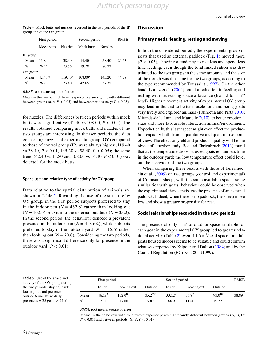<span id="page-7-1"></span>

| <b>Table 4</b> Mock butts and nuzzles recorded in the two periods of the IP |  |  |  |  |
|-----------------------------------------------------------------------------|--|--|--|--|
| group and of the OY group                                                   |  |  |  |  |

|          | First period |            | Second period | <b>RMSE</b>     |       |
|----------|--------------|------------|---------------|-----------------|-------|
|          | Mock butts   |            | Mock butts    | <b>Nuzzles</b>  |       |
| IP group |              |            |               |                 |       |
| Mean     | 13.80        | 38.40      | $14.40^{b}$   | $58.40^{\circ}$ | 24.53 |
| $\%$     | 26.44        | 73.56      | 19.78         | 80.22           |       |
| OY group |              |            |               |                 |       |
| Mean     | $42.40^{by}$ | $119.40^a$ | $108.00^{x}$  | 145.20          | 44.78 |
| %        | 26.20        | 73.80      | 42.65         | 57.35           |       |

*RMSE* root means square of error

Mean in the row with diferent superscripts are signifcantly diferent between groups (a, b:  $P < 0.05$ ) and between periods (x, y:  $P < 0.05$ )

for nuzzles. The differences between periods within mock butts were significative (42.40 vs 108.00, *P* < 0.05). The results obtained comparing mock butts and nuzzles of the two groups are interesting. In the two periods, the data concerning nuzzles of experimental group (OY) compared to those of control group (IP) were always higher (119.40 vs 38.40, *P* < 0.01, 145.20 vs 58.40, *P* < 0.05); the same trend (42.40 vs 13.80 and 108.00 vs 14.40, *P* < 0.01) was detected for the mock butts.

#### **Space use and relative type of activity for OY group**

Data relative to the spatial distribution of animals are shown in Table [5.](#page-7-0) Regarding the use of the structure by OY group, in the first period subjects preferred to stay in the indoor pen  $(N = 462.8)$  rather than looking out  $(N = 102.0)$  or exit into the external paddock  $(N = 35.2)$ . In the second period, the behaviour denoted a prevalent presence in the indoor pen  $(N = 413.6\%)$ , while subjects preferred to stay in the outdoor yard  $(N = 115.6)$  rather than looking out ( $N = 70.8$ ). Considering the two periods, there was a significant difference only for presence in the outdoor yard  $(P < 0.01)$ .

#### **Discussion**

#### **Primary needs: feeding, resting and moving**

In both the considered periods, the experimental group of goats that used an external paddock (Fig. [1](#page-5-0)) moved more  $(P < 0.05)$ , showing a tendency to rest less and spend less time feeding, even though the total mixed ration was distributed to the two groups in the same amounts and the size of the trough was the same for the two groups, according to the type recommended by Toussaint ([1997](#page-10-6)). On the other hand, Loretz et al. ([2004](#page-9-1)) found a reduction in feeding and resting with decreasing space allowance (from 2 to 1  $m^2$ ) head). Higher movement activity of experimental OY group may lead in the end to better muscle tone and being goats very lively and explorer animals (Pakhretia and Pirta [2010](#page-10-7); Miranda-de la Lama and Mattiello [2010\)](#page-9-5), to better emotional state and more favourable interaction animal/environment. Hypothetically, this last aspect might even affect the production capacity both from a qualitative and quantitative point of view. The efect on yield and products' quality will be the object of a further study. Bøe and Ehrlenbruch ([2013\)](#page-9-9) found that as the temperature drops, stressed goats remain less time in the outdoor yard; the low temperature effect could level out the behaviour of the two groups.

When comparing these results with those of Terramoccia et al. [\(2009\)](#page-10-8) on two groups (control and experimental) of Comisana sheep, with the same available space, some similarities with goats' behaviour could be observed when the experimental thesis envisages the presence of an external paddock. Indeed, when there is no paddock, the sheep move less and show a greater propensity for rest.

#### **Social relationships recorded in the two periods**

The presence of only  $1 \text{ m}^2$  of outdoor space available for each goat in the experimental OY group led to greater rela-tional activity (Table [2](#page-5-1)) even if  $1.6 \text{ m}^2$ /head space for adult goats housed indoors seems to be suitable and could confrm what was reported by Kilgour and Dalton [\(1984](#page-9-6)) and by the Council Regulation (EC) No 1804 (1999).

<span id="page-7-0"></span>**Table 5** Use of the space and activity of the OY group during the two periods: staying inside, looking out and presence outside (cumulative daily presences  $= 25$  goats  $\times$  24 h)

|      | First period |                 |                    | Second period   | <b>RMSE</b>    |             |       |
|------|--------------|-----------------|--------------------|-----------------|----------------|-------------|-------|
|      | Inside       | Looking out     | Outside            | Inside          | Looking out    | Outside     |       |
| Mean | $462.8^{A}$  | $102.0^{\rm B}$ | $35.2^{\text{CY}}$ | $332.2^{\rm A}$ | $56.8^{\rm B}$ | $93.0^{BX}$ | 38.89 |
| %    | 77.13        | 17.00           | 5.87               | 68.93           | 11.80          | 19.27       |       |

*RMSE* root means square of error

Means in the same row with by different superscript are significantly different between groups (A, B, C: *P* < 0.01) and between periods (X, Y: *P* < 0.01)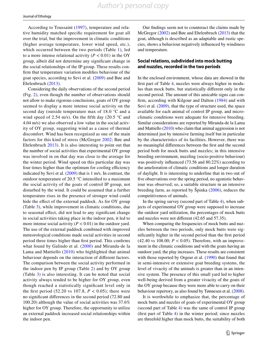*Author's personal copy*

According to Toussaint ([1997](#page-10-6)), temperature and relative humidity matched specifc requirement for goat all over the trial, but the improvement in climatic conditions (higher average temperature, lower wind speed, etc.), which occurred between the two periods (Table [1\)](#page-4-0), led to a more intense relational activity  $(P < 0.01)$  in the OY group, albeit did not determine any signifcant change in the social relationships of the IP group. These results confrm that temperature variation modifes behaviour of the goat species, according to Sevi et al. ([2009\)](#page-10-4) and Bøe and Ehrlenbruch ([2013](#page-9-9)).

Considering the daily observations of the second period (Fig. [2](#page-6-0)), even though the number of observations should not allow to make rigorous conclusions, goats of OY group seemed to display a more intense social activity on the second day (outside temperature max of 18.0 °C and a wind speed of 2.54 m/s). On the fifth day (20.5  $\degree$ C and 4.04 m/s) we also observed a low value in the social activity of OY group, suggesting wind as a cause of thermal discomfort. Wind has been recognized as one of the main factors for this kind of stress (McGregor [2002](#page-9-10); Bøe and Ehrlenbruch [2013](#page-9-9)). It is also interesting to point out that the number of social activities that experimental OY group was involved in on that day was close to the average for the winter period. Wind speed on this particular day was four times higher than the optimum for cooling efficiency indicated by Sevi et al. ([2009\)](#page-10-4) that is 1 m/s. In contrast, the outdoor temperature of 20.5 °C intensifed to a maximum the social activity of the goats of control IP group, not disturbed by the wind. It could be assumed that a further temperature rises in the presence of stronger wind could hide the effect of the external paddock. As for OY group (Table [3\)](#page-6-1), while improvement in climatic conditions, due to seasonal efect, did not lead to any signifcant change in social activities taking place in the indoor pen, it led to more intense social activity  $(P < 0.01)$  in the outdoor yard. The use of the external paddock combined with improved meteorological conditions made social activities in second period three times higher than frst period. This confrms what found by Galindo et al. ([2000](#page-9-11)) and Miranda-de la Lama and Mattiello ([2010\)](#page-9-5) who highlighted that animal behaviour depends on the interaction of diferent factors. The comparison between the social activity performed in the indoor pen by IP group (Table [2\)](#page-5-1) and by OY group (Table [3](#page-6-1)) is also interesting. It can be noted that social activity always tended to be higher for OY group, even though reached a statistically signifcant level only in the first period (52.20 vs 107.8,  $P < 0.05$ ); there were no signifcant diferences in the second period (72.80 and 100.20) although the value of social activities was 37.6% higher for OY group. Therefore, the opportunity to utilize an external paddock increased social relationships within the indoor pen.

Our fndings seem not to counteract the claims made by McGregor ([2002](#page-9-10)) and Bøe and Ehrlenbruch [\(2013](#page-9-9)) that the goat, although is described as an adaptable and rustic species, shows a behaviour negatively infuenced by windiness and temperature.

# **Social relations, subdivided into mock butting and nuzzles, recorded in the two periods**

In the enclosed environment, whose data are showed in the frst part of Table [4](#page-7-1), nuzzles were always higher in modulus than mock butts. but statistically diferent only in the second period. The amount of this amicable signs can confrm, according with Kilgour and Dalton [\(1984\)](#page-9-6) and with Sevi et al. [\(2009](#page-10-4)), that the type of structure used, the space available for each animal of control IP group, and microclimatic conditions were adequate for intensive breeding. Similar considerations are reported by Miranda-de la Lama and Mattiello [\(2010\)](#page-9-5) who claim that animal aggression is not determined just by intensive farming itself but in particular by the characteristics of its facilities. However, there was no meaningful diferences between the frst and the second period both for mock butts and nuzzles; in this intensive breeding environment, nuzzling (socio-positive behaviour) was positively infuenced (73.56 and 80.22%) according to the amelioration of climatic conditions and longer duration of daylight. It is interesting to underline that in two out of fve observations over the spring period, no agonistic behaviour was observed; so, a suitable structure in an intensive breeding farm, as reported by Špinka ([2006](#page-10-9)), reduces the competitiveness of animals.

In the spring survey (second part of Table [4](#page-7-1)), when subjects of experimental OY group were supposed to increase the outdoor yard utilization, the percentages of mock butts and nuzzles were not diferent (42.65 and 57.35).

When comparing the frequencies of mock butts and nuzzles between the two periods, only mock butts were signifcantly higher in the second period than the frst period  $(42.40 \text{ vs } 108.00; P < 0.05)$ . Therefore, with an improvement in the climatic conditions and with the goats having an outdoor yard, the play increases. These results are consistent with those reported by Orgeur et al. [\(1990\)](#page-10-10) that found that in semi-intensive or extensive goat breeding systems, the level of vivacity of the animals is greater than in an intensive system. The presence of this small yard led to higher well-being derived from a greater vivacity of the goats of the OY group because they were more able to carry on their behaviour repertory, as also found by Tønnesen et al. ([2008](#page-10-11)).

It is worthwhile to emphasize that, the percentage of mock butts and nuzzles of goats of experimental OY group (second part of Table [4\)](#page-7-1) was the same of control IP group (frst part of Table [4](#page-7-1)) in the winter period; since nuzzles are threefold higher than mock butts, the suitability of both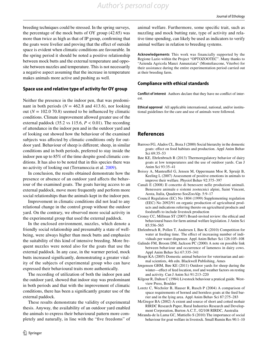breeding techniques could be stressed. In the spring surveys, the percentage of the mock butts of OY group (42.65) was more than twice as high as that of IP group, confrming that the goats were livelier and proving that the effect of outside space is evident when climatic conditions are favourable. In the spring period it should be noted a positive relationship between mock butts and the external temperature and opposite between nuzzles and temperature. This is not necessarily a negative aspect assuming that the increase in temperature makes animals more active and pushing as well.

### **Space use and relative type of activity for OY group**

Neither the presence in the indoor pen, that was predominant in both periods ( $N = 462.8$  and 413.6), nor looking out ( $N = 102.0$  70.8) seemed to be influenced by climatic conditions. Climate improvement allowed greater use of the external paddock (35.2 vs 115.6,  $P < 0.01$ ). The recording of attendance in the indoor pen and in the outdoor yard and of looking out showed how the behaviour of the examined subjects was afected by climatic conditions only for outdoor yard. Behaviour of sheep is diferent; sheep, in similar conditions and in both periods, preferred to stay inside the indoor pen up to 85% of the time despite good climatic conditions. It has also to be noted that in this species there was no activity of looking out (Terramoccia et al. [2009\)](#page-10-8).

In conclusion, the results obtained demonstrate how the presence or absence of an outdoor yard afects the behaviour of the examined goats. The goats having access to an external paddock, move more frequently and perform more social relationships than the animals kept in the indoor pen.

Improvement in climatic conditions did not lead to any relational change in the control group without the outdoor yard. On the contrary, we observed more social activity in the experimental group that used the external paddock.

In the enclosed environment, nuzzles, which denote a friendly social relationship and presumably a state of wellbeing, were always higher than mock butts and emphasize the suitability of this kind of intensive breeding. More frequent nuzzles were noted also for the goats that use the external paddock. In any case, in the warmer period, mock butts increased signifcantly, demonstrating a greater vitality of the subjects of experimental group who can have expressed their behavioural traits more authentically.

The recording of utilization of both the indoor pen and the outdoor yard, showed that indoor stay was predominant in both periods and that with the improvement of climatic conditions, there has been a signifcantly greater use of the external paddock.

These results demonstrate the validity of experimental thesis. Anyway, the availability of an outdoor yard enabled the animals to express their behavioural pattern more completely and naturally, in line with the "fve freedoms" of animal welfare. Furthermore, some specifc trait, such as nuzzling and mock butting rate, type of activity and relative time spending, can likely be used as indicators to verify animal welfare in relation to breeding systems.

**Acknowledgements** This work was financially supported by the Regione Lazio within the Project "OPTOZOOTEC". Many thanks to "Azienda Agricola Manzi Annunziata" (Montefascone, Viterbo) for their assistance during the entire experimentation period carried out at their breeding farm.

#### **Compliance with ethical standards**

**Conflict of interest** Authors declare that they have no confict of interest.

**Ethical approval** All applicable international, national, and/or institutional guidelines for the care and use of animals were followed.

# **References**

- <span id="page-9-4"></span>Barroso FG, Alados CL, Boza J (2000) Social hierarchy in the domestic goats: efect on food habitats and production. Appl Anim Behav Sci 69:35–53
- <span id="page-9-9"></span>Bøe KE, Ehrlenbruch R (2013) Thermoregulatory behavior of dairy goats at low temperatures and the use of outdoor yards. Can J Anim Sci 93:35–41
- <span id="page-9-3"></span>Boissy A, Manteufel G, Jensen M, Oppermann Moe R, Spruijt B, Keeling L (2007) Assessment of positive emotions in animals to improve their welfare. Physiol Behav 92:375–397
- <span id="page-9-2"></span>Canali E (2008) Il concetto di benessere nelle produzioni animali. Benessere animale e sistemi zootecnici alpini, Saint Vincent, Aosta, Italia, Quaderno SooZooAlp. 5:9–17
- Council Regulation (EC) No 1804 (1999) Supplementing regulation (EEC) No 2092/91 on organic production of agricultural products and indications referring thereto on agricultural products and foodstufs to include livestock production
- <span id="page-9-0"></span>Croney CC, Millman ST (2007) Board-invited review: the ethical and behavioural bases for farm animal welfare legislation. J Anim Sci 85:556–565
- <span id="page-9-8"></span>Ehrlenbruch R, Pollen T, Andersen I, Bøe K (2010) Competition for water at feeding time. The efect of increasing number of individuals per water dispenser. Appl Anim Behav Sci 126:105–108
- <span id="page-9-11"></span>Galindo FM, Broom DM, Jackson PC (2000) A note on possible link between behaviour and occurrence of lameness in dairy cows. Appl Anim Behav Sci 67:335–341
- <span id="page-9-7"></span>Houpt KA (2005) Domestic animal behavior for veterinarian and animal scientists, 4th edn. Blackwell Publishing, Ames
- Jørgensen GHM, Bøe KE (2011) Outdoor yards for sheep during the winter—effect of feed location, roof and weather factors on resting and activity. Can J Anim Sci 91:213–220
- <span id="page-9-6"></span>Kilgour R, Dalton C (1984) Livestock behaviour a pratical guide. Westview Press, Boulder
- <span id="page-9-1"></span>Loretz C, Wechsler B, Hauser R, Rusch P (2004) A comparison of space requirements of horned and hornless goats at the feed barrier and in the lying area. Appl Anim Behav Sci 87:275–283
- <span id="page-9-10"></span>McGregor BA (2002) A extent and source of short and cotted mohair RIRDC Research Paper, Rural Industries Research and Development Corporation, Burton A.C.T., 02/108 RIRDC, Australia
- <span id="page-9-5"></span>Miranda-de la Lama GC, Mattiello S (2010) The importance of social behaviour for goat welfare in livestock. Small Rumin Res 90:1–10